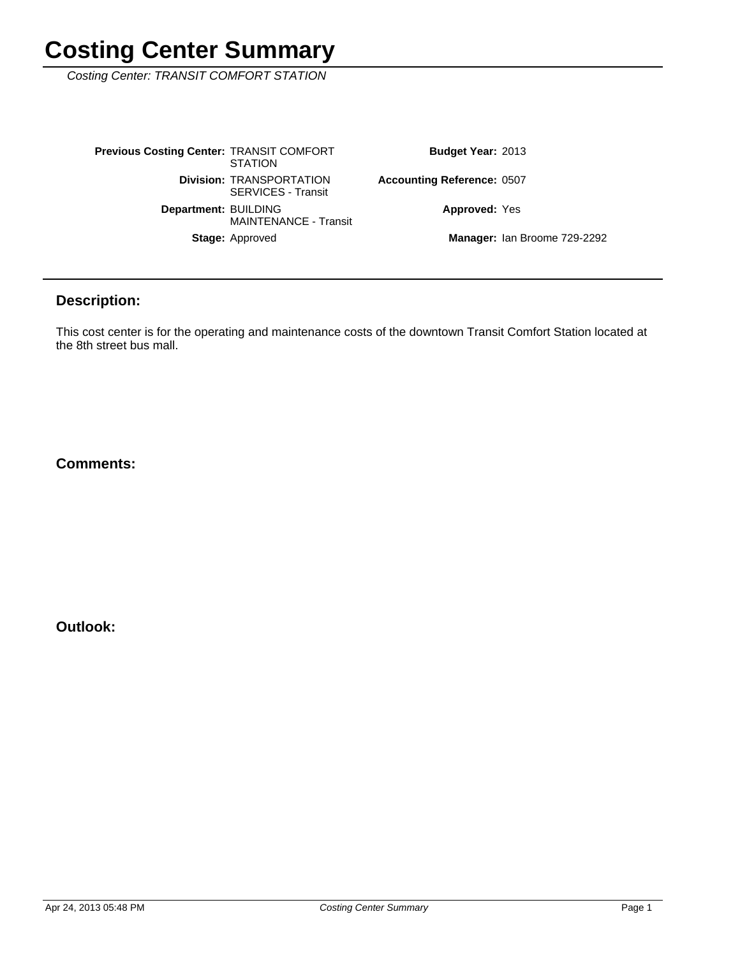Costing Center: TRANSIT COMFORT STATION

| <b>Previous Costing Center: TRANSIT COMFORT</b> | <b>STATION</b>                                               | <b>Budget Year: 2013</b>          |                                     |
|-------------------------------------------------|--------------------------------------------------------------|-----------------------------------|-------------------------------------|
|                                                 | <b>Division: TRANSPORTATION</b><br><b>SERVICES - Transit</b> | <b>Accounting Reference: 0507</b> |                                     |
| Department: BUILDING                            | <b>MAINTENANCE - Transit</b>                                 | <b>Approved: Yes</b>              |                                     |
|                                                 | <b>Stage: Approved</b>                                       |                                   | <b>Manager: Ian Broome 729-2292</b> |

### **Description:**

This cost center is for the operating and maintenance costs of the downtown Transit Comfort Station located at the 8th street bus mall.

#### **Comments:**

**Outlook:**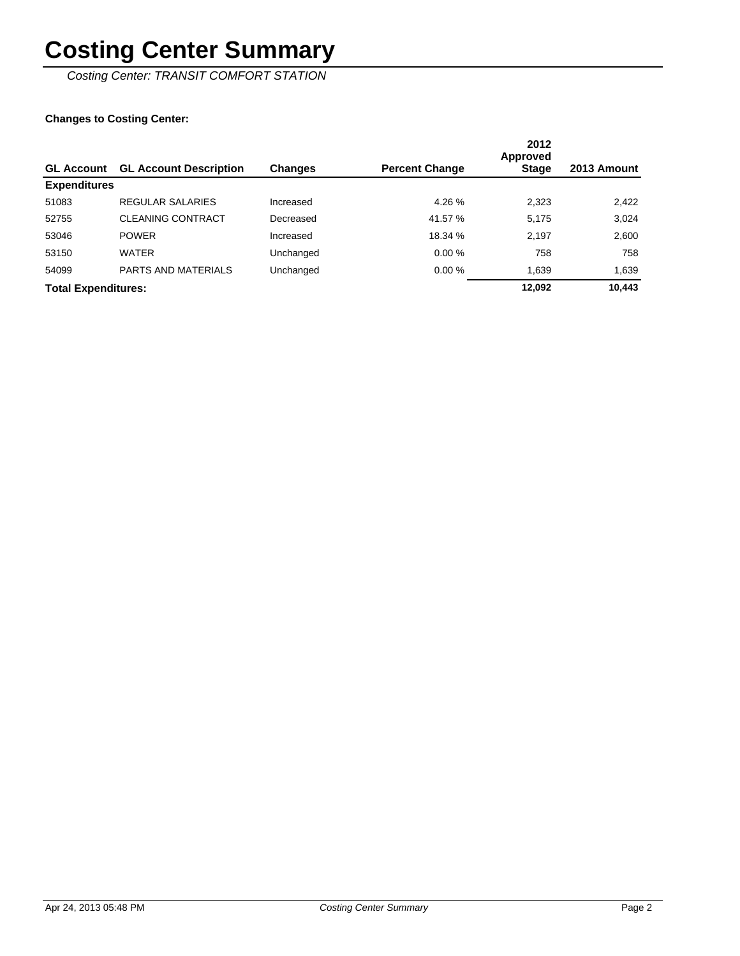Costing Center: TRANSIT COMFORT STATION

### **Changes to Costing Center:**

| <b>GL Account</b>          | <b>GL Account Description</b> | <b>Changes</b> | <b>Percent Change</b> | 2012<br><b>Approved</b><br><b>Stage</b> | 2013 Amount |
|----------------------------|-------------------------------|----------------|-----------------------|-----------------------------------------|-------------|
| <b>Expenditures</b>        |                               |                |                       |                                         |             |
| 51083                      | REGULAR SALARIES              | Increased      | 4.26%                 | 2,323                                   | 2,422       |
| 52755                      | <b>CLEANING CONTRACT</b>      | Decreased      | 41.57 %               | 5.175                                   | 3,024       |
| 53046                      | <b>POWER</b>                  | Increased      | 18.34 %               | 2,197                                   | 2,600       |
| 53150                      | <b>WATER</b>                  | Unchanged      | 0.00%                 | 758                                     | 758         |
| 54099                      | <b>PARTS AND MATERIALS</b>    | Unchanged      | 0.00%                 | 1.639                                   | 1.639       |
| <b>Total Expenditures:</b> |                               |                |                       | 12,092                                  | 10.443      |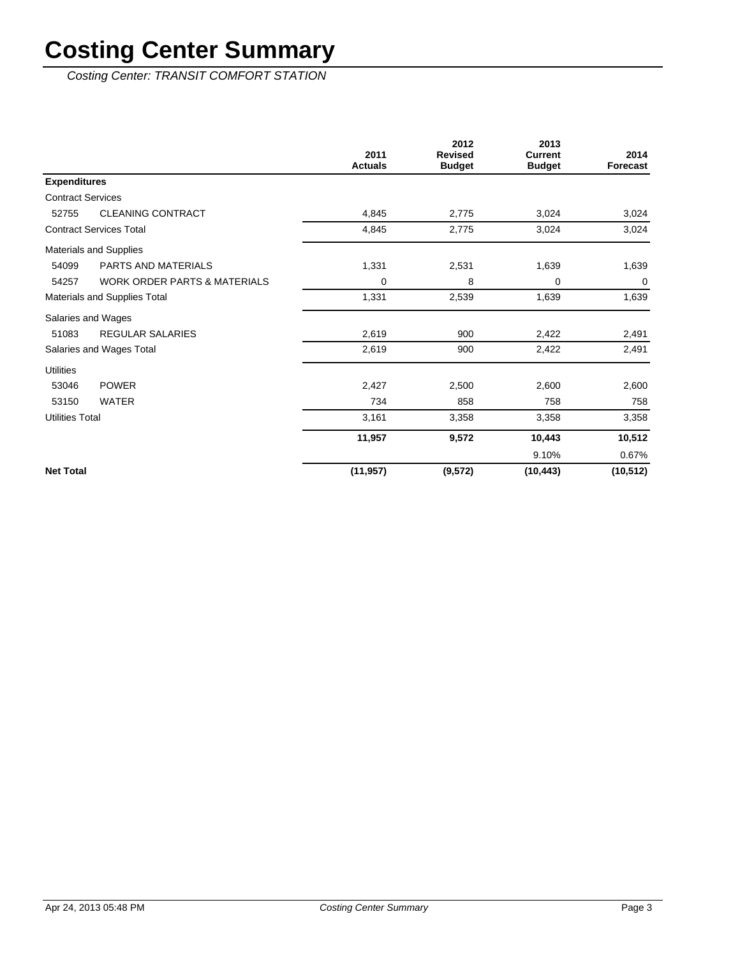Costing Center: TRANSIT COMFORT STATION

|                                                  | 2011<br><b>Actuals</b> | 2012<br><b>Revised</b><br><b>Budget</b> | 2013<br><b>Current</b><br><b>Budget</b> | 2014<br>Forecast |
|--------------------------------------------------|------------------------|-----------------------------------------|-----------------------------------------|------------------|
| <b>Expenditures</b>                              |                        |                                         |                                         |                  |
| <b>Contract Services</b>                         |                        |                                         |                                         |                  |
| 52755<br><b>CLEANING CONTRACT</b>                | 4,845                  | 2,775                                   | 3,024                                   | 3,024            |
| <b>Contract Services Total</b>                   | 4,845                  | 2,775                                   | 3,024                                   | 3,024            |
| <b>Materials and Supplies</b>                    |                        |                                         |                                         |                  |
| PARTS AND MATERIALS<br>54099                     | 1,331                  | 2,531                                   | 1,639                                   | 1,639            |
| <b>WORK ORDER PARTS &amp; MATERIALS</b><br>54257 | 0                      | 8                                       | 0                                       | $\mathbf 0$      |
| Materials and Supplies Total                     | 1,331                  | 2,539                                   | 1,639                                   | 1,639            |
| Salaries and Wages                               |                        |                                         |                                         |                  |
| <b>REGULAR SALARIES</b><br>51083                 | 2,619                  | 900                                     | 2,422                                   | 2,491            |
| Salaries and Wages Total                         | 2,619                  | 900                                     | 2,422                                   | 2,491            |
| <b>Utilities</b>                                 |                        |                                         |                                         |                  |
| <b>POWER</b><br>53046                            | 2,427                  | 2,500                                   | 2,600                                   | 2,600            |
| <b>WATER</b><br>53150                            | 734                    | 858                                     | 758                                     | 758              |
| <b>Utilities Total</b>                           | 3,161                  | 3,358                                   | 3,358                                   | 3,358            |
|                                                  | 11,957                 | 9,572                                   | 10,443                                  | 10,512           |
|                                                  |                        |                                         | 9.10%                                   | 0.67%            |
| <b>Net Total</b>                                 | (11, 957)              | (9, 572)                                | (10, 443)                               | (10, 512)        |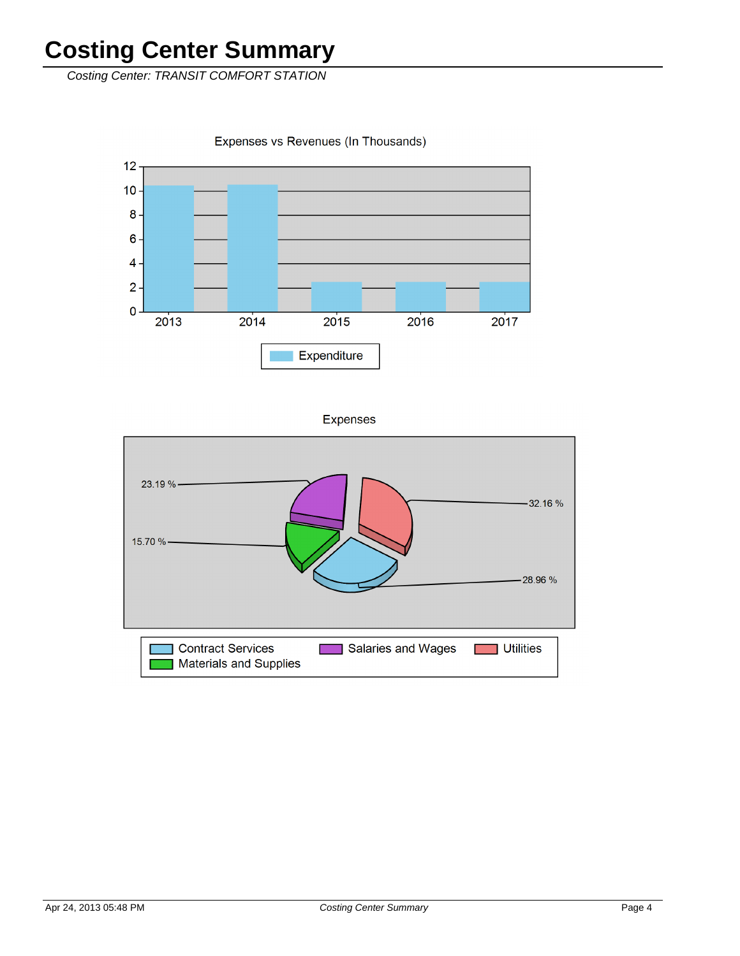Costing Center: TRANSIT COMFORT STATION

Expenses vs Revenues (In Thousands)



**Expenses** 

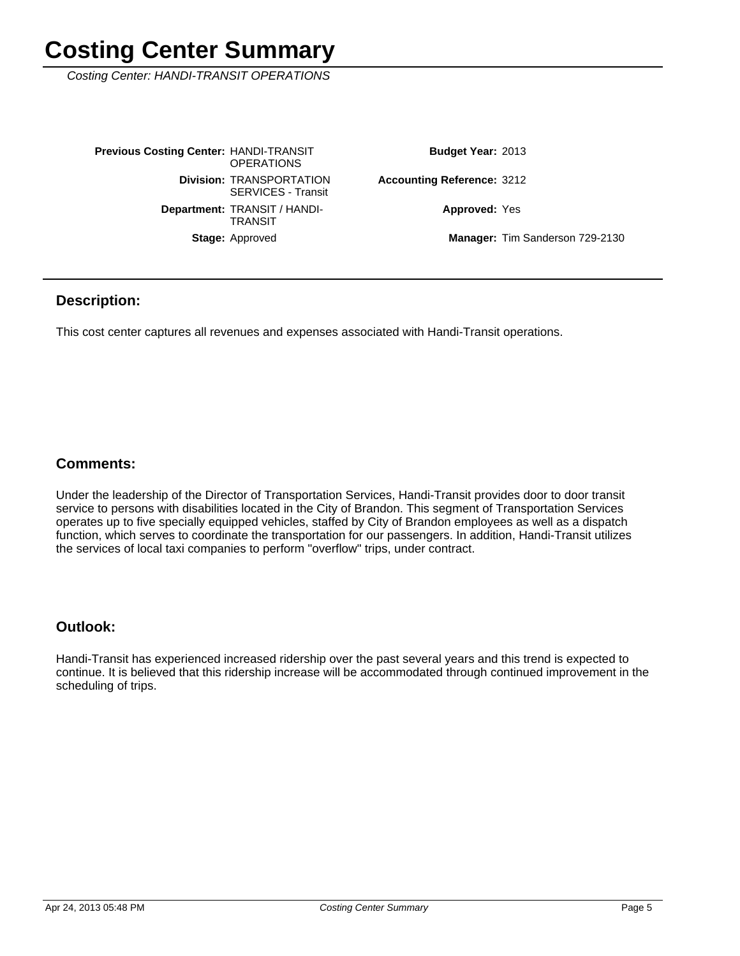Costing Center: HANDI-TRANSIT OPERATIONS

| <b>Previous Costing Center: HANDI-TRANSIT</b>         | <b>OPERATIONS</b>         | <b>Budget Year: 2013</b>          |
|-------------------------------------------------------|---------------------------|-----------------------------------|
| <b>Division: TRANSPORTATION</b>                       | <b>SERVICES - Transit</b> | <b>Accounting Reference: 3212</b> |
| <b>Department: TRANSIT / HANDI-</b><br><b>TRANSIT</b> |                           | <b>Approved: Yes</b>              |
| <b>Stage: Approved</b>                                |                           | Manager: Tim Sanderson 729-2130   |

#### **Description:**

This cost center captures all revenues and expenses associated with Handi-Transit operations.

#### **Comments:**

Under the leadership of the Director of Transportation Services, Handi-Transit provides door to door transit service to persons with disabilities located in the City of Brandon. This segment of Transportation Services operates up to five specially equipped vehicles, staffed by City of Brandon employees as well as a dispatch function, which serves to coordinate the transportation for our passengers. In addition, Handi-Transit utilizes the services of local taxi companies to perform "overflow" trips, under contract.

#### **Outlook:**

Handi-Transit has experienced increased ridership over the past several years and this trend is expected to continue. It is believed that this ridership increase will be accommodated through continued improvement in the scheduling of trips.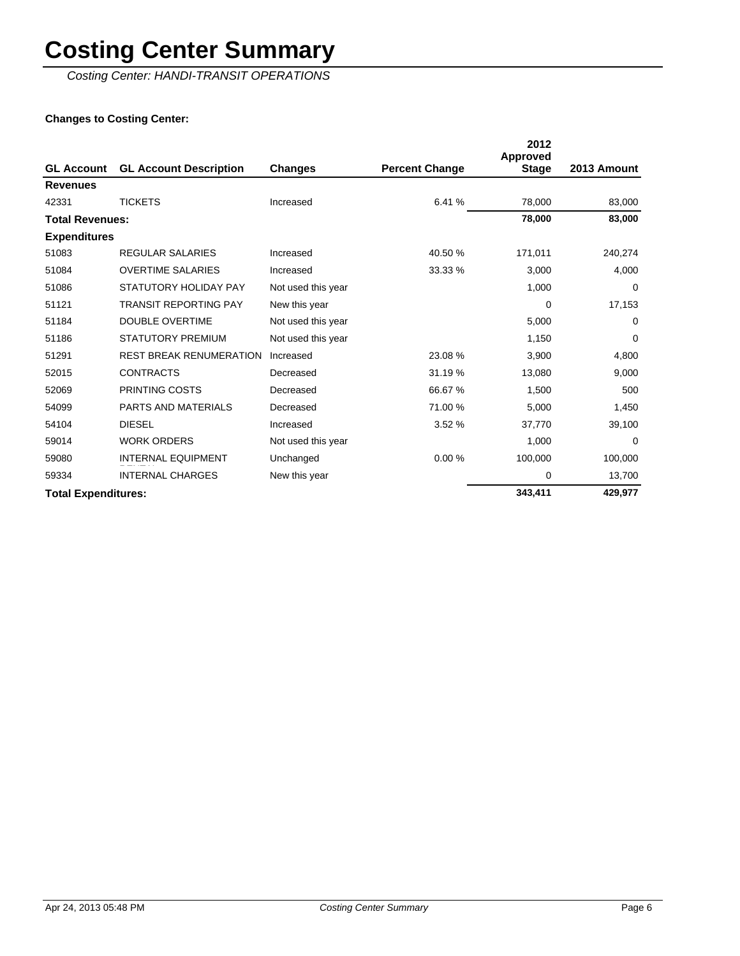Costing Center: HANDI-TRANSIT OPERATIONS

### **Changes to Costing Center:**

|                            |                                |                    |                       | 2012<br><b>Approved</b> |             |
|----------------------------|--------------------------------|--------------------|-----------------------|-------------------------|-------------|
| <b>GL Account</b>          | <b>GL Account Description</b>  | <b>Changes</b>     | <b>Percent Change</b> | <b>Stage</b>            | 2013 Amount |
| <b>Revenues</b>            |                                |                    |                       |                         |             |
| 42331                      | <b>TICKETS</b>                 | Increased          | 6.41%                 | 78,000                  | 83,000      |
| <b>Total Revenues:</b>     |                                |                    |                       | 78,000                  | 83,000      |
| <b>Expenditures</b>        |                                |                    |                       |                         |             |
| 51083                      | <b>REGULAR SALARIES</b>        | Increased          | 40.50 %               | 171,011                 | 240,274     |
| 51084                      | <b>OVERTIME SALARIES</b>       | Increased          | 33.33 %               | 3,000                   | 4,000       |
| 51086                      | STATUTORY HOLIDAY PAY          | Not used this year |                       | 1,000                   | 0           |
| 51121                      | <b>TRANSIT REPORTING PAY</b>   | New this year      |                       | 0                       | 17,153      |
| 51184                      | <b>DOUBLE OVERTIME</b>         | Not used this year |                       | 5,000                   | $\Omega$    |
| 51186                      | <b>STATUTORY PREMIUM</b>       | Not used this year |                       | 1,150                   | 0           |
| 51291                      | <b>REST BREAK RENUMERATION</b> | Increased          | 23.08 %               | 3,900                   | 4,800       |
| 52015                      | <b>CONTRACTS</b>               | Decreased          | 31.19 %               | 13,080                  | 9,000       |
| 52069                      | PRINTING COSTS                 | Decreased          | 66.67 %               | 1,500                   | 500         |
| 54099                      | <b>PARTS AND MATERIALS</b>     | Decreased          | 71.00 %               | 5,000                   | 1,450       |
| 54104                      | <b>DIESEL</b>                  | Increased          | 3.52 %                | 37,770                  | 39,100      |
| 59014                      | <b>WORK ORDERS</b>             | Not used this year |                       | 1,000                   | $\Omega$    |
| 59080                      | <b>INTERNAL EQUIPMENT</b>      | Unchanged          | 0.00%                 | 100,000                 | 100,000     |
| 59334                      | <b>INTERNAL CHARGES</b>        | New this year      |                       | 0                       | 13,700      |
| <b>Total Expenditures:</b> |                                |                    |                       | 343,411                 | 429,977     |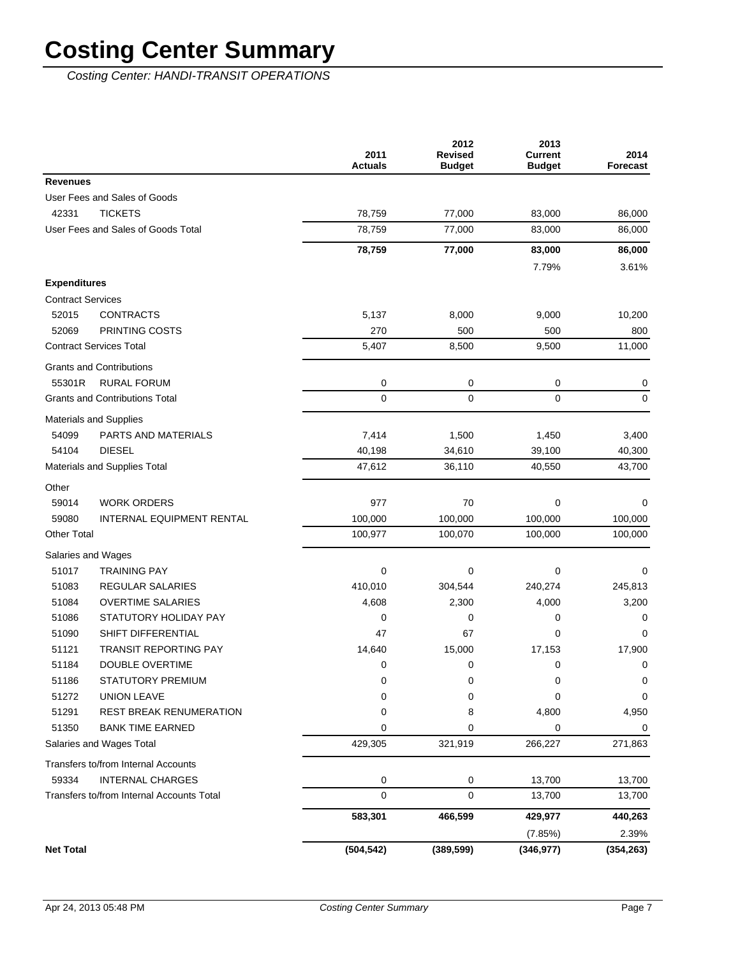|                                                                          | 2011<br><b>Actuals</b> | 2012<br><b>Revised</b><br><b>Budget</b> | 2013<br><b>Current</b><br><b>Budget</b> | 2014<br>Forecast    |
|--------------------------------------------------------------------------|------------------------|-----------------------------------------|-----------------------------------------|---------------------|
| <b>Revenues</b>                                                          |                        |                                         |                                         |                     |
| User Fees and Sales of Goods                                             |                        |                                         |                                         |                     |
| 42331<br><b>TICKETS</b>                                                  | 78,759                 | 77,000                                  | 83,000                                  | 86,000              |
| User Fees and Sales of Goods Total                                       | 78,759                 | 77,000                                  | 83,000                                  | 86,000              |
|                                                                          | 78,759                 | 77,000                                  | 83,000                                  | 86,000              |
|                                                                          |                        |                                         | 7.79%                                   | 3.61%               |
| <b>Expenditures</b>                                                      |                        |                                         |                                         |                     |
| <b>Contract Services</b>                                                 |                        |                                         |                                         |                     |
| <b>CONTRACTS</b><br>52015                                                | 5,137                  | 8,000                                   | 9,000                                   | 10,200              |
| PRINTING COSTS<br>52069                                                  | 270                    | 500                                     | 500                                     | 800                 |
| <b>Contract Services Total</b>                                           | 5,407                  | 8,500                                   | 9,500                                   | 11,000              |
| <b>Grants and Contributions</b>                                          |                        |                                         |                                         |                     |
| 55301R<br><b>RURAL FORUM</b>                                             | 0                      | 0                                       | 0                                       | 0                   |
| <b>Grants and Contributions Total</b>                                    | $\mathbf 0$            | $\mathbf 0$                             | 0                                       | $\mathbf 0$         |
| Materials and Supplies                                                   |                        |                                         |                                         |                     |
| PARTS AND MATERIALS<br>54099                                             | 7,414                  | 1,500                                   | 1,450                                   | 3,400               |
| <b>DIESEL</b><br>54104                                                   | 40,198                 | 34,610                                  | 39,100                                  | 40,300              |
| Materials and Supplies Total                                             | 47,612                 | 36,110                                  | 40,550                                  | 43,700              |
|                                                                          |                        |                                         |                                         |                     |
| Other                                                                    | 977                    |                                         |                                         |                     |
| 59014<br><b>WORK ORDERS</b><br>59080<br><b>INTERNAL EQUIPMENT RENTAL</b> | 100,000                | 70<br>100,000                           | 0<br>100,000                            | $\Omega$<br>100,000 |
| <b>Other Total</b>                                                       | 100,977                | 100,070                                 | 100,000                                 | 100,000             |
|                                                                          |                        |                                         |                                         |                     |
| Salaries and Wages                                                       |                        |                                         |                                         |                     |
| 51017<br><b>TRAINING PAY</b>                                             | 0                      | 0                                       | 0                                       | 0                   |
| 51083<br>REGULAR SALARIES                                                | 410,010                | 304,544                                 | 240,274                                 | 245,813             |
| 51084<br><b>OVERTIME SALARIES</b>                                        | 4,608                  | 2,300                                   | 4,000                                   | 3,200               |
| 51086<br>STATUTORY HOLIDAY PAY<br>SHIFT DIFFERENTIAL                     | 0                      | 0                                       | 0                                       | 0                   |
| 51090<br><b>TRANSIT REPORTING PAY</b>                                    | 47                     | 67                                      | 0                                       | 0                   |
| 51121<br>DOUBLE OVERTIME<br>51184                                        | 14,640<br>0            | 15,000<br>0                             | 17,153<br>0                             | 17,900<br>0         |
| STATUTORY PREMIUM<br>51186                                               |                        |                                         |                                         |                     |
| 51272<br><b>UNION LEAVE</b>                                              | 0<br>0                 | 0<br>0                                  | 0<br>0                                  | $\cup$<br>0         |
| 51291<br>REST BREAK RENUMERATION                                         | 0                      | 8                                       | 4,800                                   | 4,950               |
| 51350<br><b>BANK TIME EARNED</b>                                         | 0                      | 0                                       | 0                                       | 0                   |
| Salaries and Wages Total                                                 | 429,305                | 321,919                                 | 266,227                                 | 271,863             |
|                                                                          |                        |                                         |                                         |                     |
| Transfers to/from Internal Accounts                                      |                        |                                         |                                         |                     |
| <b>INTERNAL CHARGES</b><br>59334                                         | 0                      | 0                                       | 13,700                                  | 13,700              |
| Transfers to/from Internal Accounts Total                                | 0                      | 0                                       | 13,700                                  | 13,700              |
|                                                                          | 583,301                | 466,599                                 | 429,977                                 | 440,263             |
|                                                                          |                        |                                         | (7.85%)                                 | 2.39%               |
| <b>Net Total</b>                                                         | (504, 542)             | (389, 599)                              | (346, 977)                              | (354, 263)          |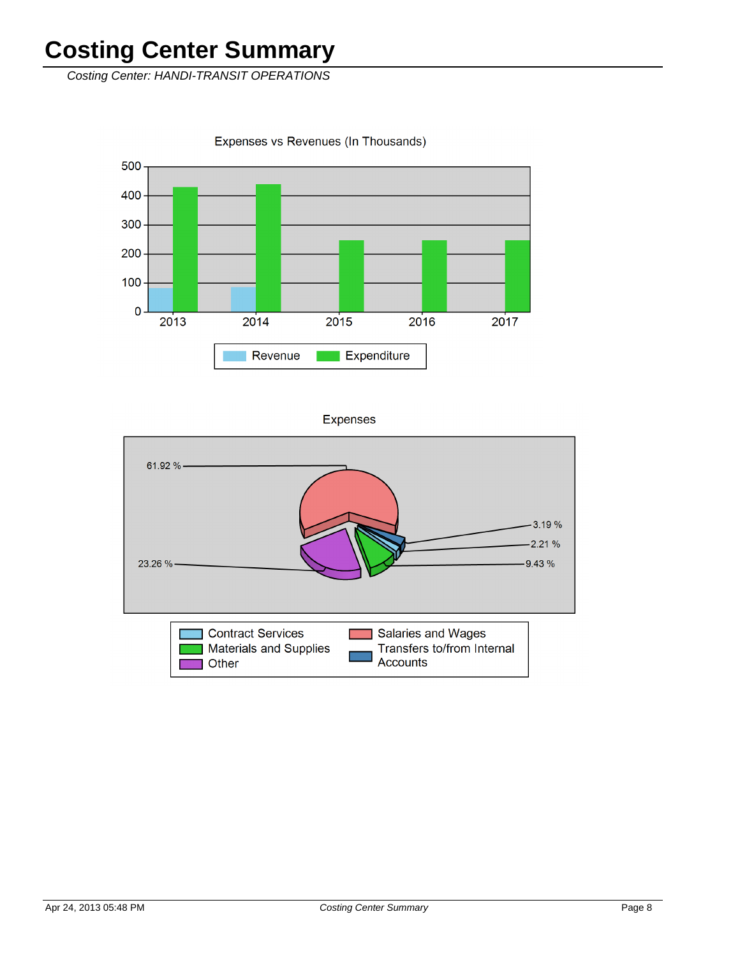Costing Center: HANDI-TRANSIT OPERATIONS

Expenses vs Revenues (In Thousands)



**Expenses** 

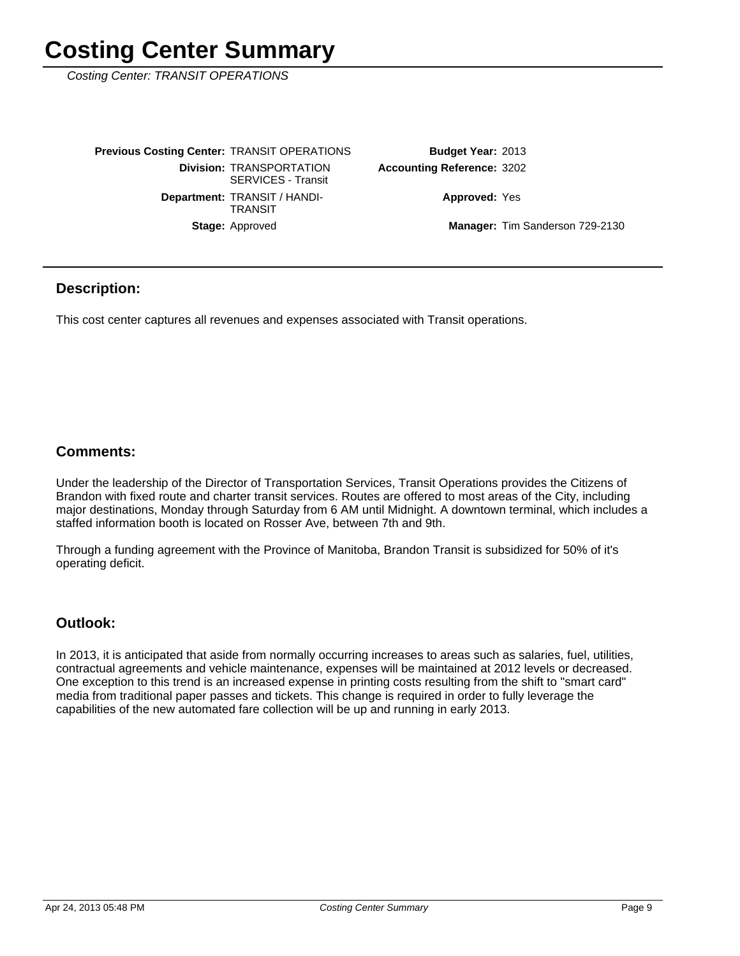Costing Center: TRANSIT OPERATIONS

Stage: Approved Department: TRANSIT / HANDI-**TRANSIT Division: TRANSPORTATION** SERVICES - Transit **Previous Costing Center: TRANSIT OPERATIONS**  3202 **Accounting Reference:** Budget Year: 2013

**Approved: Yes** 

Manager: Tim Sanderson 729-2130

#### **Description:**

This cost center captures all revenues and expenses associated with Transit operations.

#### **Comments:**

Under the leadership of the Director of Transportation Services, Transit Operations provides the Citizens of Brandon with fixed route and charter transit services. Routes are offered to most areas of the City, including major destinations, Monday through Saturday from 6 AM until Midnight. A downtown terminal, which includes a staffed information booth is located on Rosser Ave, between 7th and 9th.

Through a funding agreement with the Province of Manitoba, Brandon Transit is subsidized for 50% of it's operating deficit.

#### **Outlook:**

In 2013, it is anticipated that aside from normally occurring increases to areas such as salaries, fuel, utilities, contractual agreements and vehicle maintenance, expenses will be maintained at 2012 levels or decreased. One exception to this trend is an increased expense in printing costs resulting from the shift to "smart card" media from traditional paper passes and tickets. This change is required in order to fully leverage the capabilities of the new automated fare collection will be up and running in early 2013.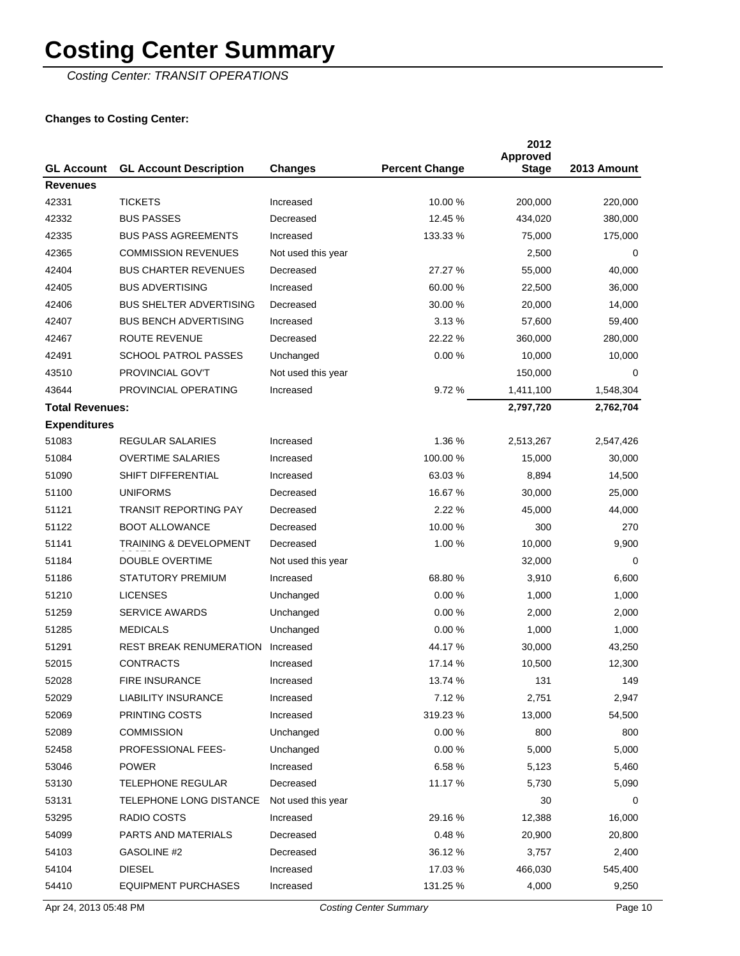Costing Center: TRANSIT OPERATIONS

### **Changes to Costing Center:**

| <b>GL Account</b>      | <b>GL Account Description</b>     | <b>Changes</b>     | <b>Percent Change</b> | 2012<br>Approved<br><b>Stage</b> | 2013 Amount |
|------------------------|-----------------------------------|--------------------|-----------------------|----------------------------------|-------------|
| <b>Revenues</b>        |                                   |                    |                       |                                  |             |
| 42331                  | <b>TICKETS</b>                    | Increased          | 10.00 %               | 200,000                          | 220,000     |
| 42332                  | <b>BUS PASSES</b>                 | Decreased          | 12.45 %               | 434,020                          | 380,000     |
| 42335                  | <b>BUS PASS AGREEMENTS</b>        | Increased          | 133.33 %              | 75,000                           | 175,000     |
| 42365                  | <b>COMMISSION REVENUES</b>        | Not used this year |                       | 2,500                            | 0           |
| 42404                  | <b>BUS CHARTER REVENUES</b>       | Decreased          | 27.27 %               | 55,000                           | 40,000      |
| 42405                  | <b>BUS ADVERTISING</b>            | Increased          | 60.00 %               | 22,500                           | 36,000      |
| 42406                  | <b>BUS SHELTER ADVERTISING</b>    | Decreased          | 30.00 %               | 20,000                           | 14,000      |
| 42407                  | <b>BUS BENCH ADVERTISING</b>      | Increased          | 3.13%                 | 57,600                           | 59,400      |
| 42467                  | ROUTE REVENUE                     | Decreased          | 22.22 %               | 360,000                          | 280,000     |
| 42491                  | <b>SCHOOL PATROL PASSES</b>       | Unchanged          | 0.00%                 | 10,000                           | 10,000      |
| 43510                  | PROVINCIAL GOV'T                  | Not used this year |                       | 150,000                          | 0           |
| 43644                  | PROVINCIAL OPERATING              | Increased          | 9.72%                 | 1,411,100                        | 1,548,304   |
| <b>Total Revenues:</b> |                                   |                    |                       | 2,797,720                        | 2,762,704   |
| <b>Expenditures</b>    |                                   |                    |                       |                                  |             |
| 51083                  | <b>REGULAR SALARIES</b>           | Increased          | 1.36 %                | 2,513,267                        | 2,547,426   |
| 51084                  | <b>OVERTIME SALARIES</b>          | Increased          | 100.00 %              | 15,000                           | 30,000      |
| 51090                  | SHIFT DIFFERENTIAL                | Increased          | 63.03%                | 8,894                            | 14,500      |
| 51100                  | <b>UNIFORMS</b>                   | Decreased          | 16.67 %               | 30,000                           | 25,000      |
| 51121                  | <b>TRANSIT REPORTING PAY</b>      | Decreased          | 2.22 %                | 45,000                           | 44,000      |
| 51122                  | <b>BOOT ALLOWANCE</b>             | Decreased          | 10.00 %               | 300                              | 270         |
| 51141                  | <b>TRAINING &amp; DEVELOPMENT</b> | Decreased          | 1.00 %                | 10,000                           | 9,900       |
| 51184                  | DOUBLE OVERTIME                   | Not used this year |                       | 32,000                           | 0           |
| 51186                  | STATUTORY PREMIUM                 | Increased          | 68.80 %               | 3,910                            | 6,600       |
| 51210                  | <b>LICENSES</b>                   | Unchanged          | 0.00%                 | 1,000                            | 1,000       |
| 51259                  | <b>SERVICE AWARDS</b>             | Unchanged          | 0.00%                 | 2,000                            | 2,000       |
| 51285                  | <b>MEDICALS</b>                   | Unchanged          | 0.00%                 | 1,000                            | 1,000       |
| 51291                  | <b>REST BREAK RENUMERATION</b>    | Increased          | 44.17 %               | 30,000                           | 43,250      |
| 52015                  | <b>CONTRACTS</b>                  | Increased          | 17.14 %               | 10,500                           | 12,300      |
| 52028                  | FIRE INSURANCE                    | Increased          | 13.74 %               | 131                              | 149         |
| 52029                  | <b>LIABILITY INSURANCE</b>        | Increased          | 7.12 %                | 2,751                            | 2,947       |
| 52069                  | PRINTING COSTS                    | Increased          | 319.23 %              | 13,000                           | 54,500      |
| 52089                  | <b>COMMISSION</b>                 | Unchanged          | 0.00%                 | 800                              | 800         |
| 52458                  | PROFESSIONAL FEES-                | Unchanged          | 0.00%                 | 5,000                            | 5,000       |
| 53046                  | <b>POWER</b>                      | Increased          | 6.58%                 | 5,123                            | 5,460       |
| 53130                  | <b>TELEPHONE REGULAR</b>          | Decreased          | 11.17 %               | 5,730                            | 5,090       |
| 53131                  | TELEPHONE LONG DISTANCE           | Not used this year |                       | 30                               | 0           |
| 53295                  | RADIO COSTS                       | Increased          | 29.16 %               | 12,388                           | 16,000      |
| 54099                  | PARTS AND MATERIALS               | Decreased          | 0.48%                 | 20,900                           | 20,800      |
| 54103                  | GASOLINE #2                       | Decreased          | 36.12 %               | 3,757                            | 2,400       |
| 54104                  | <b>DIESEL</b>                     | Increased          | 17.03 %               | 466,030                          | 545,400     |
| 54410                  | <b>EQUIPMENT PURCHASES</b>        | Increased          | 131.25 %              | 4,000                            | 9,250       |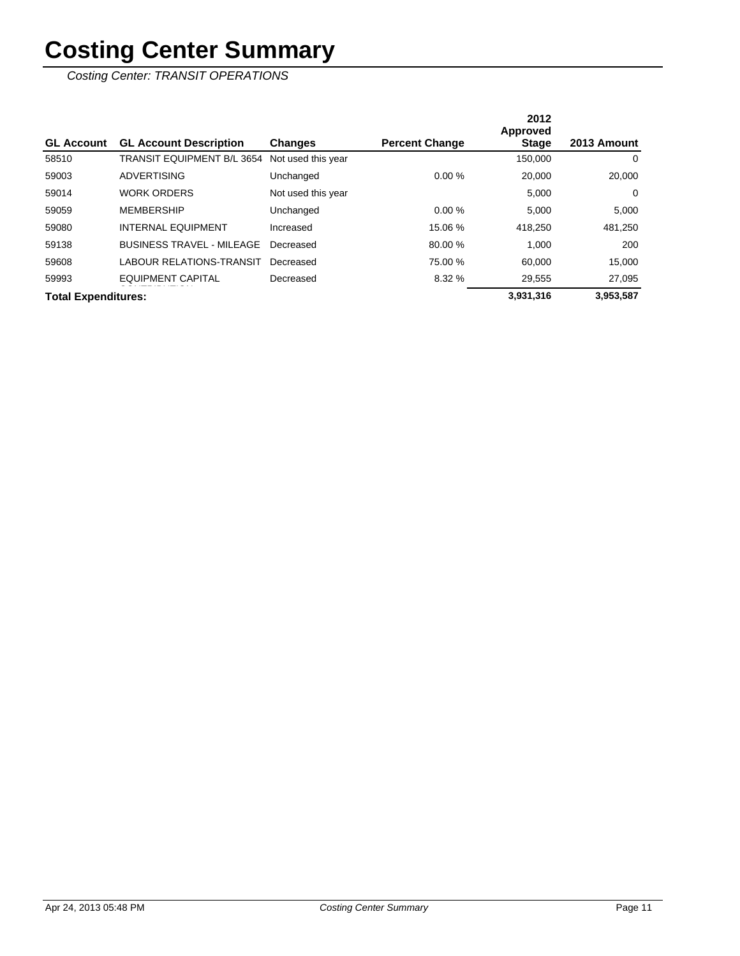|                            |                                   |                    |                       | 2012<br>Approved |             |
|----------------------------|-----------------------------------|--------------------|-----------------------|------------------|-------------|
| <b>GL Account</b>          | <b>GL Account Description</b>     | <b>Changes</b>     | <b>Percent Change</b> | <b>Stage</b>     | 2013 Amount |
| 58510                      | <b>TRANSIT EQUIPMENT B/L 3654</b> | Not used this year |                       | 150,000          | 0           |
| 59003                      | <b>ADVERTISING</b>                | Unchanged          | 0.00%                 | 20,000           | 20,000      |
| 59014                      | <b>WORK ORDERS</b>                | Not used this year |                       | 5,000            | 0           |
| 59059                      | <b>MEMBERSHIP</b>                 | Unchanged          | 0.00%                 | 5.000            | 5,000       |
| 59080                      | <b>INTERNAL EQUIPMENT</b>         | Increased          | 15.06 %               | 418.250          | 481,250     |
| 59138                      | <b>BUSINESS TRAVEL - MILEAGE</b>  | Decreased          | 80.00 %               | 1.000            | 200         |
| 59608                      | <b>LABOUR RELATIONS-TRANSIT</b>   | Decreased          | 75.00 %               | 60.000           | 15,000      |
| 59993                      | <b>EQUIPMENT CAPITAL</b>          | Decreased          | 8.32 %                | 29,555           | 27.095      |
| <b>Total Expenditures:</b> |                                   |                    |                       | 3,931,316        | 3,953,587   |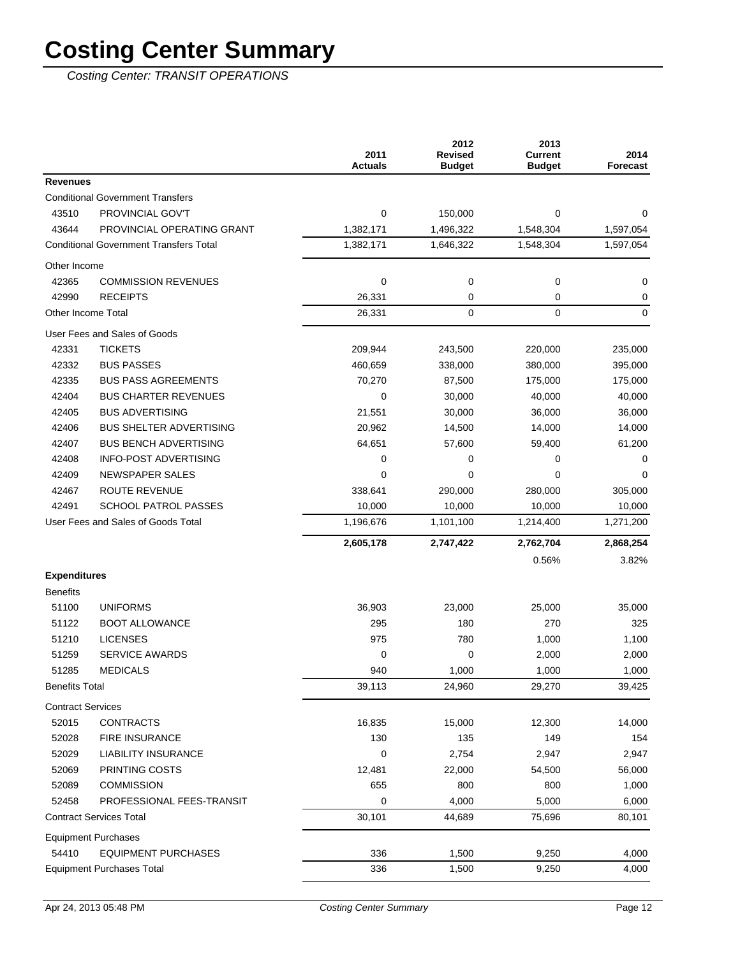|                          |                                               | 2011<br><b>Actuals</b> | 2012<br><b>Revised</b><br><b>Budget</b> | 2013<br><b>Current</b><br><b>Budget</b> | 2014<br>Forecast |
|--------------------------|-----------------------------------------------|------------------------|-----------------------------------------|-----------------------------------------|------------------|
| <b>Revenues</b>          |                                               |                        |                                         |                                         |                  |
|                          | <b>Conditional Government Transfers</b>       |                        |                                         |                                         |                  |
| 43510                    | PROVINCIAL GOV'T                              | 0                      | 150,000                                 | 0                                       | 0                |
| 43644                    | PROVINCIAL OPERATING GRANT                    | 1,382,171              | 1,496,322                               | 1,548,304                               | 1,597,054        |
|                          | <b>Conditional Government Transfers Total</b> | 1,382,171              | 1,646,322                               | 1,548,304                               | 1,597,054        |
| Other Income             |                                               |                        |                                         |                                         |                  |
| 42365                    | <b>COMMISSION REVENUES</b>                    | 0                      | 0                                       | 0                                       | 0                |
| 42990                    | <b>RECEIPTS</b>                               | 26,331                 | 0                                       | 0                                       | 0                |
| Other Income Total       |                                               | 26,331                 | 0                                       | 0                                       | $\mathbf 0$      |
|                          | User Fees and Sales of Goods                  |                        |                                         |                                         |                  |
| 42331                    | <b>TICKETS</b>                                | 209,944                | 243,500                                 | 220,000                                 | 235,000          |
| 42332                    | <b>BUS PASSES</b>                             | 460,659                | 338,000                                 | 380,000                                 | 395,000          |
| 42335                    | <b>BUS PASS AGREEMENTS</b>                    | 70,270                 | 87,500                                  | 175,000                                 | 175,000          |
| 42404                    | <b>BUS CHARTER REVENUES</b>                   | 0                      | 30,000                                  | 40,000                                  | 40,000           |
| 42405                    | <b>BUS ADVERTISING</b>                        | 21,551                 | 30,000                                  | 36,000                                  | 36,000           |
| 42406                    | <b>BUS SHELTER ADVERTISING</b>                | 20,962                 | 14,500                                  | 14,000                                  | 14,000           |
| 42407                    | <b>BUS BENCH ADVERTISING</b>                  | 64,651                 | 57,600                                  | 59,400                                  | 61,200           |
| 42408                    | <b>INFO-POST ADVERTISING</b>                  | 0                      | 0                                       | 0                                       | 0                |
| 42409                    | NEWSPAPER SALES                               | $\mathbf 0$            | 0                                       | 0                                       | $\Omega$         |
| 42467                    | <b>ROUTE REVENUE</b>                          | 338,641                | 290,000                                 | 280,000                                 | 305,000          |
| 42491                    | <b>SCHOOL PATROL PASSES</b>                   | 10,000                 | 10,000                                  | 10,000                                  | 10,000           |
|                          | User Fees and Sales of Goods Total            | 1,196,676              | 1,101,100                               | 1,214,400                               | 1,271,200        |
|                          |                                               | 2,605,178              | 2,747,422                               | 2,762,704                               | 2,868,254        |
|                          |                                               |                        |                                         | 0.56%                                   | 3.82%            |
| <b>Expenditures</b>      |                                               |                        |                                         |                                         |                  |
| <b>Benefits</b>          |                                               |                        |                                         |                                         |                  |
| 51100                    | <b>UNIFORMS</b>                               | 36,903                 | 23,000                                  | 25,000                                  | 35,000           |
| 51122                    | <b>BOOT ALLOWANCE</b>                         | 295                    | 180                                     | 270                                     | 325              |
| 51210                    | <b>LICENSES</b>                               | 975                    | 780                                     | 1,000                                   | 1,100            |
| 51259                    | <b>SERVICE AWARDS</b>                         | 0                      | 0                                       | 2,000                                   | 2,000            |
| 51285                    | <b>MEDICALS</b>                               | 940                    | 1,000                                   | 1,000                                   | 1,000            |
| <b>Benefits Total</b>    |                                               | 39,113                 | 24,960                                  | 29,270                                  | 39,425           |
| <b>Contract Services</b> |                                               |                        |                                         |                                         |                  |
| 52015                    | <b>CONTRACTS</b>                              | 16,835                 | 15,000                                  | 12,300                                  | 14,000           |
| 52028                    | <b>FIRE INSURANCE</b>                         | 130                    | 135                                     | 149                                     | 154              |
| 52029                    | <b>LIABILITY INSURANCE</b>                    | 0                      | 2,754                                   | 2,947                                   | 2,947            |
| 52069                    | PRINTING COSTS                                | 12,481                 | 22,000                                  | 54,500                                  | 56,000           |
| 52089                    | <b>COMMISSION</b>                             | 655                    | 800                                     | 800                                     | 1,000            |
| 52458                    | PROFESSIONAL FEES-TRANSIT                     | 0                      | 4,000                                   | 5,000                                   | 6,000            |
|                          | <b>Contract Services Total</b>                | 30,101                 | 44,689                                  | 75,696                                  | 80,101           |
|                          | <b>Equipment Purchases</b>                    |                        |                                         |                                         |                  |
| 54410                    | <b>EQUIPMENT PURCHASES</b>                    | 336                    | 1,500                                   | 9,250                                   | 4,000            |
|                          | <b>Equipment Purchases Total</b>              | 336                    | 1,500                                   | 9,250                                   | 4,000            |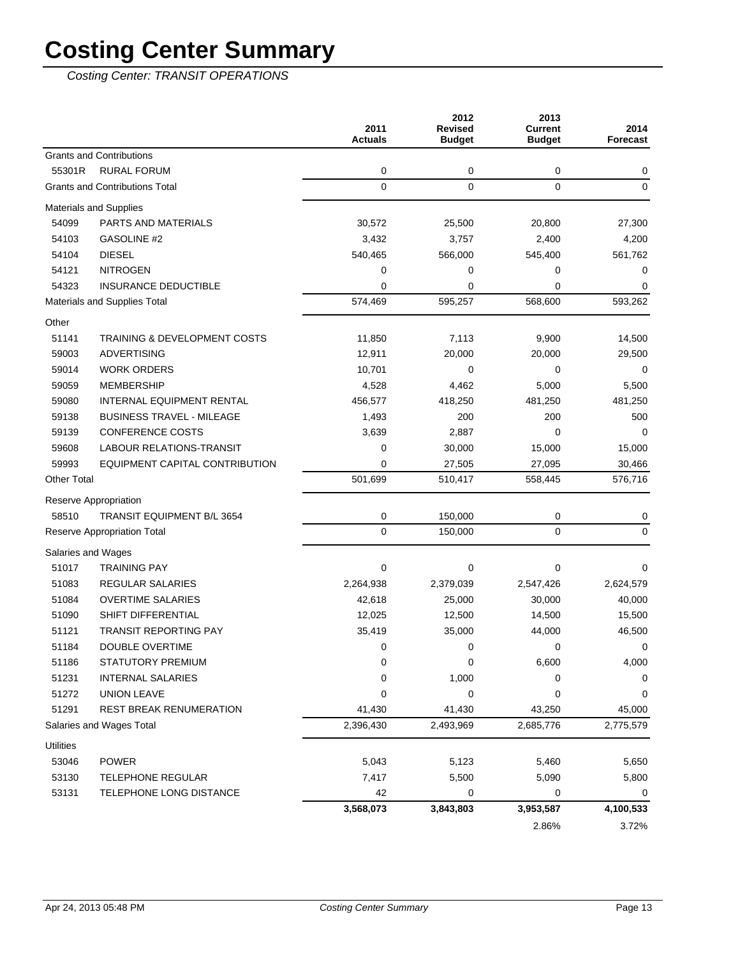|                    |                                         | 2011<br><b>Actuals</b> | 2012<br><b>Revised</b><br><b>Budget</b> | 2013<br><b>Current</b><br><b>Budget</b> | 2014<br><b>Forecast</b> |
|--------------------|-----------------------------------------|------------------------|-----------------------------------------|-----------------------------------------|-------------------------|
|                    | <b>Grants and Contributions</b>         |                        |                                         |                                         |                         |
| 55301R             | RURAL FORUM                             | 0                      | 0                                       | 0                                       | 0                       |
|                    | <b>Grants and Contributions Total</b>   | 0                      | $\mathbf 0$                             | $\mathbf 0$                             | 0                       |
|                    | <b>Materials and Supplies</b>           |                        |                                         |                                         |                         |
| 54099              | PARTS AND MATERIALS                     | 30,572                 | 25,500                                  | 20,800                                  | 27,300                  |
| 54103              | GASOLINE #2                             | 3,432                  | 3,757                                   | 2,400                                   | 4,200                   |
| 54104              | <b>DIESEL</b>                           | 540,465                | 566,000                                 | 545,400                                 | 561,762                 |
| 54121              | <b>NITROGEN</b>                         | 0                      | 0                                       | 0                                       | 0                       |
| 54323              | <b>INSURANCE DEDUCTIBLE</b>             | 0                      | 0                                       | 0                                       | 0                       |
|                    | Materials and Supplies Total            | 574,469                | 595,257                                 | 568,600                                 | 593,262                 |
| Other              |                                         |                        |                                         |                                         |                         |
| 51141              | <b>TRAINING &amp; DEVELOPMENT COSTS</b> | 11,850                 | 7,113                                   | 9,900                                   | 14,500                  |
| 59003              | <b>ADVERTISING</b>                      | 12,911                 | 20,000                                  | 20,000                                  | 29,500                  |
| 59014              | <b>WORK ORDERS</b>                      | 10,701                 | 0                                       | 0                                       | 0                       |
| 59059              | <b>MEMBERSHIP</b>                       | 4,528                  | 4,462                                   | 5,000                                   | 5,500                   |
| 59080              | INTERNAL EQUIPMENT RENTAL               | 456,577                | 418,250                                 | 481,250                                 | 481,250                 |
| 59138              | <b>BUSINESS TRAVEL - MILEAGE</b>        | 1,493                  | 200                                     | 200                                     | 500                     |
| 59139              | <b>CONFERENCE COSTS</b>                 | 3,639                  | 2,887                                   | 0                                       | 0                       |
| 59608              | LABOUR RELATIONS-TRANSIT                | 0                      | 30,000                                  | 15,000                                  | 15,000                  |
| 59993              | EQUIPMENT CAPITAL CONTRIBUTION          | 0                      | 27,505                                  | 27,095                                  | 30,466                  |
| <b>Other Total</b> |                                         | 501,699                | 510,417                                 | 558,445                                 | 576,716                 |
|                    | Reserve Appropriation                   |                        |                                         |                                         |                         |
| 58510              | <b>TRANSIT EQUIPMENT B/L 3654</b>       | 0                      | 150,000                                 | 0                                       | 0                       |
|                    | Reserve Appropriation Total             | 0                      | 150,000                                 | $\mathbf 0$                             | 0                       |
|                    | Salaries and Wages                      |                        |                                         |                                         |                         |
| 51017              | <b>TRAINING PAY</b>                     | 0                      | 0                                       | 0                                       | 0                       |
| 51083              | <b>REGULAR SALARIES</b>                 | 2,264,938              | 2,379,039                               | 2,547,426                               | 2,624,579               |
| 51084              | <b>OVERTIME SALARIES</b>                | 42,618                 | 25,000                                  | 30,000                                  | 40,000                  |
| 51090              | SHIFT DIFFERENTIAL                      | 12,025                 | 12,500                                  | 14,500                                  | 15,500                  |
| 51121              | <b>TRANSIT REPORTING PAY</b>            | 35,419                 | 35,000                                  | 44,000                                  | 46,500                  |
| 51184              | DOUBLE OVERTIME                         | 0                      | 0                                       | 0                                       | 0                       |
| 51186              | STATUTORY PREMIUM                       | 0                      | 0                                       | 6,600                                   | 4,000                   |
| 51231              | <b>INTERNAL SALARIES</b>                | 0                      | 1,000                                   | 0                                       | 0                       |
| 51272              | <b>UNION LEAVE</b>                      | 0                      | 0                                       | 0                                       | 0                       |
| 51291              | REST BREAK RENUMERATION                 | 41,430                 | 41,430                                  | 43,250                                  | 45,000                  |
|                    | Salaries and Wages Total                | 2,396,430              | 2,493,969                               | 2,685,776                               | 2,775,579               |
| <b>Utilities</b>   |                                         |                        |                                         |                                         |                         |
| 53046              | <b>POWER</b>                            | 5,043                  | 5,123                                   | 5,460                                   | 5,650                   |
| 53130              | <b>TELEPHONE REGULAR</b>                | 7,417                  | 5,500                                   | 5,090                                   | 5,800                   |
| 53131              | TELEPHONE LONG DISTANCE                 | 42                     | 0                                       | 0                                       | 0                       |
|                    |                                         | 3,568,073              | 3,843,803                               | 3,953,587                               | 4,100,533               |
|                    |                                         |                        |                                         | 2.86%                                   | 3.72%                   |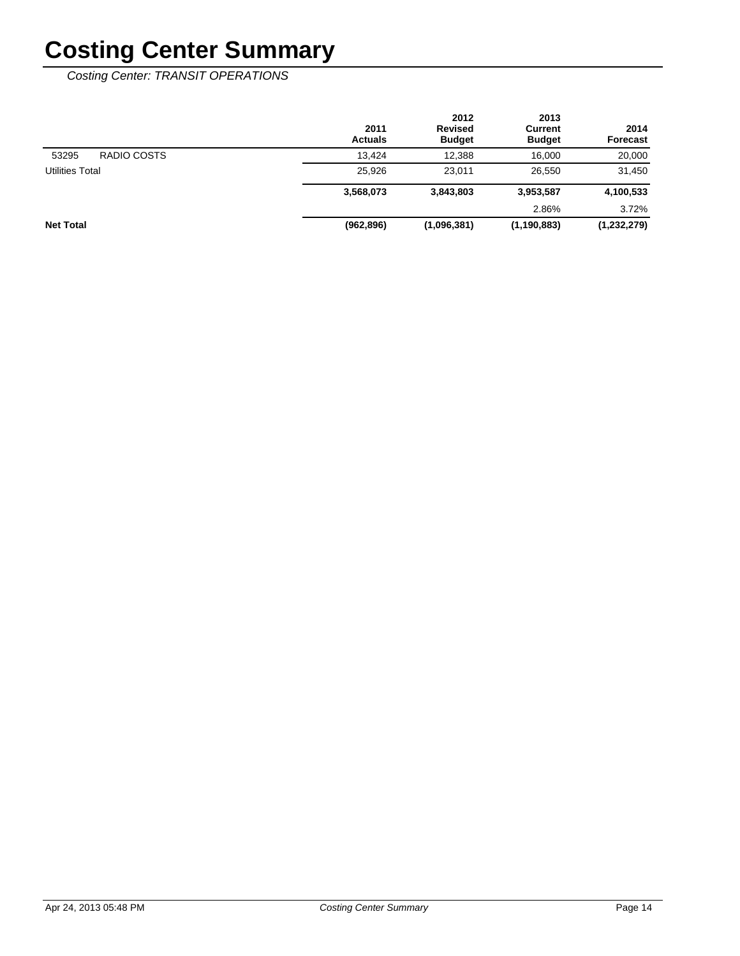|                        | 2011<br><b>Actuals</b> | 2012<br><b>Revised</b><br><b>Budget</b> | 2013<br>Current<br><b>Budget</b> | 2014<br><b>Forecast</b> |
|------------------------|------------------------|-----------------------------------------|----------------------------------|-------------------------|
| RADIO COSTS<br>53295   | 13.424                 | 12.388                                  | 16.000                           | 20,000                  |
| <b>Utilities Total</b> | 25,926                 | 23.011                                  | 26,550                           | 31,450                  |
|                        | 3,568,073              | 3,843,803                               | 3,953,587                        | 4,100,533               |
|                        |                        |                                         | 2.86%                            | 3.72%                   |
| <b>Net Total</b>       | (962, 896)             | (1,096,381)                             | (1, 190, 883)                    | (1,232,279)             |